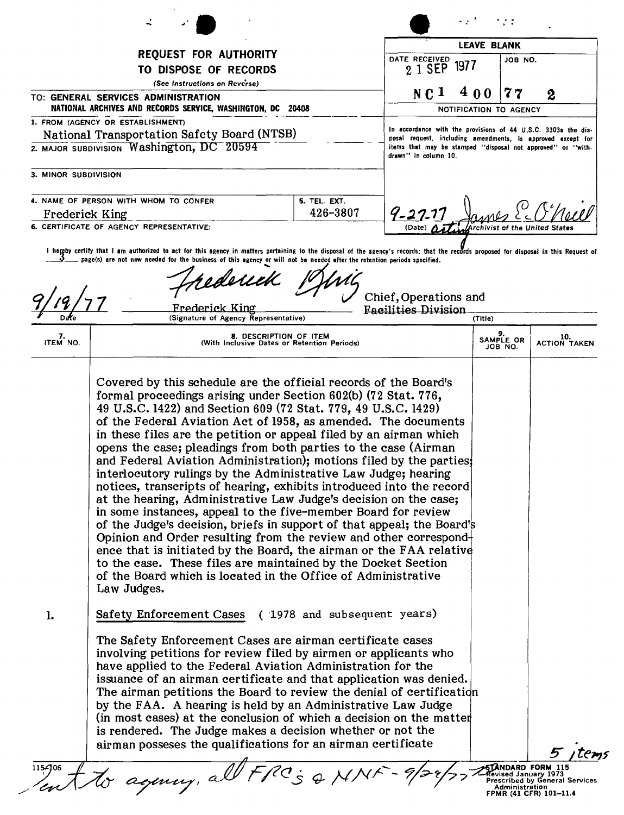| <b>LEAVE BLANK</b><br><b>REQUEST FOR AUTHORITY</b><br>DATE RECEIVED<br>JOB NO.<br>1977<br>2 1 SEP<br>TO DISPOSE OF RECORDS<br>(See Instructions on Reverse)<br>400<br>NC <sub>1</sub><br>77<br>2<br>NATIONAL ARCHIVES AND RECORDS SERVICE, WASHINGTON, DC 20408<br>NOTIFICATION TO AGENCY<br>1. FROM (AGENCY OR ESTABLISHMENT)<br>In accordance with the provisions of 44 U.S.C. 3303a the dis-<br>National Transportation Safety Board (NTSB)<br>posal request, including amendments, is approved except for<br>2. MAJOR SUBDIVISION Washington, DC 20594<br>items that may be stamped "disposal not approved" or "with-<br>drawn" in column 10.<br>3. MINOR SUBDIVISION<br>5. TEL. EXT.<br>$9 - 27.1$<br>426-3807<br>Frederick King<br>6. CERTIFICATE OF AGENCY REPRESENTATIVE:<br>(Date)<br>l hereby certify that I am authorized to act for this agency in matters pertaining to the disposal of the agency's records; that the records proposed for disposal in this Request of<br>page(s) are not now needed for the business of this agency or will not be needed after the retention periods specified.<br>rederick<br>Chief, Operations and<br>Frederick King<br><b>Facilities Division</b><br>(Signature of Agency Representative)<br>(Title)<br>8. DESCRIPTION OF ITEM<br>10.<br><b>SAMPLE OR</b><br>ITEM NO.<br>(With Inclusive Dates or Retention Periods)<br>JOB NO.<br>Covered by this schedule are the official records of the Board's<br>formal proceedings arising under Section 602(b) (72 Stat. 776,<br>49 U.S.C. 1422) and Section 609 (72 Stat. 779, 49 U.S.C. 1429)<br>of the Federal Aviation Act of 1958, as amended. The documents<br>in these files are the petition or appeal filed by an airman which<br>opens the case; pleadings from both parties to the case (Airman<br>and Federal Aviation Administration); motions filed by the parties<br>interlocutory rulings by the Administrative Law Judge; hearing<br>notices, transcripts of hearing, exhibits introduced into the record<br>at the hearing, Administrative Law Judge's decision on the case;<br>in some instances, appeal to the five-member Board for review<br>of the Judge's decision, briefs in support of that appeal; the Board's<br>Opinion and Order resulting from the review and other correspond<br>ence that is initiated by the Board, the airman or the FAA relative<br>to the case. These files are maintained by the Docket Section<br>of the Board which is located in the Office of Administrative<br>Law Judges.<br>Safety Enforcement Cases (1978 and subsequent years)<br>1.<br>The Safety Enforcement Cases are airman certificate cases<br>involving petitions for review filed by airmen or applicants who<br>have applied to the Federal Aviation Administration for the<br>issuance of an airman certificate and that application was denied.<br>The airman petitions the Board to review the denial of certification<br>by the FAA. A hearing is held by an Administrative Law Judge<br>(in most cases) at the conclusion of which a decision on the matter<br>is rendered. The Judge makes a decision whether or not the<br>airman possesses the qualifications for an airman certificate |                                       |  |  |  |  |  |                     |
|--------------------------------------------------------------------------------------------------------------------------------------------------------------------------------------------------------------------------------------------------------------------------------------------------------------------------------------------------------------------------------------------------------------------------------------------------------------------------------------------------------------------------------------------------------------------------------------------------------------------------------------------------------------------------------------------------------------------------------------------------------------------------------------------------------------------------------------------------------------------------------------------------------------------------------------------------------------------------------------------------------------------------------------------------------------------------------------------------------------------------------------------------------------------------------------------------------------------------------------------------------------------------------------------------------------------------------------------------------------------------------------------------------------------------------------------------------------------------------------------------------------------------------------------------------------------------------------------------------------------------------------------------------------------------------------------------------------------------------------------------------------------------------------------------------------------------------------------------------------------------------------------------------------------------------------------------------------------------------------------------------------------------------------------------------------------------------------------------------------------------------------------------------------------------------------------------------------------------------------------------------------------------------------------------------------------------------------------------------------------------------------------------------------------------------------------------------------------------------------------------------------------------------------------------------------------------------------------------------------------------------------------------------------------------------------------------------------------------------------------------------------------------------------------------------------------------------------------------------------------------------------------------------------------------------------------------------------------------------------------------------------------------------------------------------------------------------------------------------------------------------------------------------------------------------------------------------------------|---------------------------------------|--|--|--|--|--|---------------------|
|                                                                                                                                                                                                                                                                                                                                                                                                                                                                                                                                                                                                                                                                                                                                                                                                                                                                                                                                                                                                                                                                                                                                                                                                                                                                                                                                                                                                                                                                                                                                                                                                                                                                                                                                                                                                                                                                                                                                                                                                                                                                                                                                                                                                                                                                                                                                                                                                                                                                                                                                                                                                                                                                                                                                                                                                                                                                                                                                                                                                                                                                                                                                                                                                                    |                                       |  |  |  |  |  |                     |
|                                                                                                                                                                                                                                                                                                                                                                                                                                                                                                                                                                                                                                                                                                                                                                                                                                                                                                                                                                                                                                                                                                                                                                                                                                                                                                                                                                                                                                                                                                                                                                                                                                                                                                                                                                                                                                                                                                                                                                                                                                                                                                                                                                                                                                                                                                                                                                                                                                                                                                                                                                                                                                                                                                                                                                                                                                                                                                                                                                                                                                                                                                                                                                                                                    |                                       |  |  |  |  |  |                     |
|                                                                                                                                                                                                                                                                                                                                                                                                                                                                                                                                                                                                                                                                                                                                                                                                                                                                                                                                                                                                                                                                                                                                                                                                                                                                                                                                                                                                                                                                                                                                                                                                                                                                                                                                                                                                                                                                                                                                                                                                                                                                                                                                                                                                                                                                                                                                                                                                                                                                                                                                                                                                                                                                                                                                                                                                                                                                                                                                                                                                                                                                                                                                                                                                                    | TO: GENERAL SERVICES ADMINISTRATION   |  |  |  |  |  |                     |
|                                                                                                                                                                                                                                                                                                                                                                                                                                                                                                                                                                                                                                                                                                                                                                                                                                                                                                                                                                                                                                                                                                                                                                                                                                                                                                                                                                                                                                                                                                                                                                                                                                                                                                                                                                                                                                                                                                                                                                                                                                                                                                                                                                                                                                                                                                                                                                                                                                                                                                                                                                                                                                                                                                                                                                                                                                                                                                                                                                                                                                                                                                                                                                                                                    |                                       |  |  |  |  |  |                     |
|                                                                                                                                                                                                                                                                                                                                                                                                                                                                                                                                                                                                                                                                                                                                                                                                                                                                                                                                                                                                                                                                                                                                                                                                                                                                                                                                                                                                                                                                                                                                                                                                                                                                                                                                                                                                                                                                                                                                                                                                                                                                                                                                                                                                                                                                                                                                                                                                                                                                                                                                                                                                                                                                                                                                                                                                                                                                                                                                                                                                                                                                                                                                                                                                                    |                                       |  |  |  |  |  |                     |
|                                                                                                                                                                                                                                                                                                                                                                                                                                                                                                                                                                                                                                                                                                                                                                                                                                                                                                                                                                                                                                                                                                                                                                                                                                                                                                                                                                                                                                                                                                                                                                                                                                                                                                                                                                                                                                                                                                                                                                                                                                                                                                                                                                                                                                                                                                                                                                                                                                                                                                                                                                                                                                                                                                                                                                                                                                                                                                                                                                                                                                                                                                                                                                                                                    |                                       |  |  |  |  |  |                     |
|                                                                                                                                                                                                                                                                                                                                                                                                                                                                                                                                                                                                                                                                                                                                                                                                                                                                                                                                                                                                                                                                                                                                                                                                                                                                                                                                                                                                                                                                                                                                                                                                                                                                                                                                                                                                                                                                                                                                                                                                                                                                                                                                                                                                                                                                                                                                                                                                                                                                                                                                                                                                                                                                                                                                                                                                                                                                                                                                                                                                                                                                                                                                                                                                                    | 4. NAME OF PERSON WITH WHOM TO CONFER |  |  |  |  |  |                     |
|                                                                                                                                                                                                                                                                                                                                                                                                                                                                                                                                                                                                                                                                                                                                                                                                                                                                                                                                                                                                                                                                                                                                                                                                                                                                                                                                                                                                                                                                                                                                                                                                                                                                                                                                                                                                                                                                                                                                                                                                                                                                                                                                                                                                                                                                                                                                                                                                                                                                                                                                                                                                                                                                                                                                                                                                                                                                                                                                                                                                                                                                                                                                                                                                                    |                                       |  |  |  |  |  |                     |
|                                                                                                                                                                                                                                                                                                                                                                                                                                                                                                                                                                                                                                                                                                                                                                                                                                                                                                                                                                                                                                                                                                                                                                                                                                                                                                                                                                                                                                                                                                                                                                                                                                                                                                                                                                                                                                                                                                                                                                                                                                                                                                                                                                                                                                                                                                                                                                                                                                                                                                                                                                                                                                                                                                                                                                                                                                                                                                                                                                                                                                                                                                                                                                                                                    |                                       |  |  |  |  |  |                     |
|                                                                                                                                                                                                                                                                                                                                                                                                                                                                                                                                                                                                                                                                                                                                                                                                                                                                                                                                                                                                                                                                                                                                                                                                                                                                                                                                                                                                                                                                                                                                                                                                                                                                                                                                                                                                                                                                                                                                                                                                                                                                                                                                                                                                                                                                                                                                                                                                                                                                                                                                                                                                                                                                                                                                                                                                                                                                                                                                                                                                                                                                                                                                                                                                                    |                                       |  |  |  |  |  | <b>ACTION TAKEN</b> |
| tto agincy, all FRCs & MNF                                                                                                                                                                                                                                                                                                                                                                                                                                                                                                                                                                                                                                                                                                                                                                                                                                                                                                                                                                                                                                                                                                                                                                                                                                                                                                                                                                                                                                                                                                                                                                                                                                                                                                                                                                                                                                                                                                                                                                                                                                                                                                                                                                                                                                                                                                                                                                                                                                                                                                                                                                                                                                                                                                                                                                                                                                                                                                                                                                                                                                                                                                                                                                                         |                                       |  |  |  |  |  | 5 items             |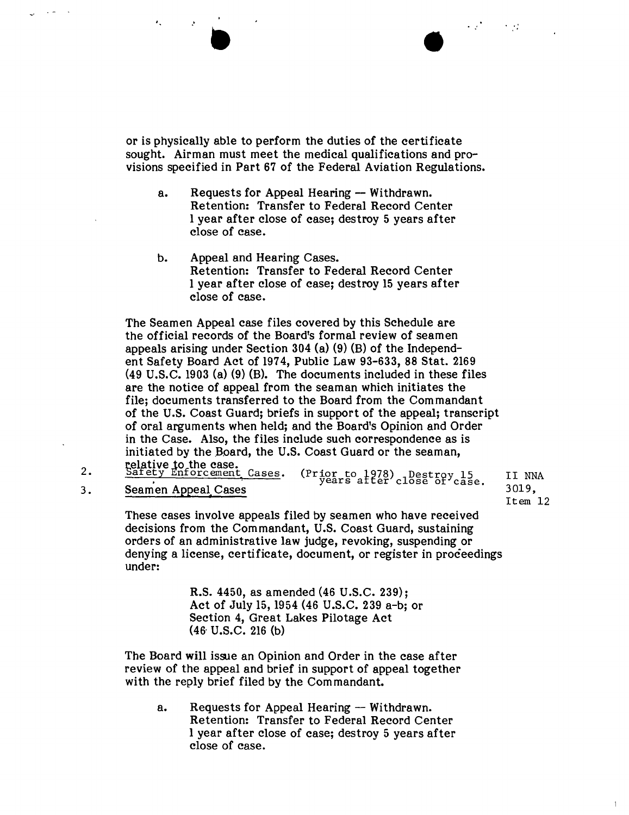or is physically able to perform the duties of the certificate sought. Airman must meet the medical qualifications and provisions specified in Part 67 of the Federal Aviation Regulations.

- a. Requests for Appeal Hearing Withdrawn. Retention: Transfer to Federal Record Center 1year after close of case; destroy 5 years after close of case.
- b. Appeal and Hearing Cases. Retention: Transfer to Federal Record Center 1 year after close of case; destroy 15 years after close of case.

The Seamen Appeal case files covered by this Schedule are the official records of the Board's formal review of seamen appeals arising under Section 304 (a) (9) (B) of the Independent Safety Board Act of 1974, Public Law 93-633, 88 Stat. 2169 (49 U.S.C. 1903 (a) (9) (B). The documents included in these files are the notice of appeal from the seaman which initiates the file; documents transferred to the Board from the Commandant of the U.S. Coast Guard; briefs in support of the appeal; transcript of oral arguments when held; and the Board's Opinion and Order in the Case. Also, the files include such correspondence as is initiated by the Board, the U.S. Coast Guard or the seaman,<br>relative to the case.<br>Safety Enforcement Cases. (Prior to 1978), Destroy

2. Safety Enforcement Cases. (Prior to 1978) Destroy 15<br>3. Seamen Appeal Cases Seamen Appeal Cases

II NNA 3019, Item 12

1

These cases involve appeals filed by seamen who have received decisions from the Commandant, U.S. Coast Guard, sustaining orders of an administrative law judge, revoking, suspending or denying a license, certificate, document, or register in proceedings under:

> R.S. 4450, as amended (46 U.S.C. 239); Act of July 15, 1954 (46 U.S.C. 239 a-b; or Section 4, Great Lakes Pilotage Act (46' U.S.C. 216 (b)

The Board will issue an Opinion and Order in the case after review of the appeal and brief in support of appeal together with the reply brief filed by the Commandant.

a. Requests for Appeal Hearing - Withdrawn. Retention: Transfer to Federal Record Center 1 year after close of case; destroy 5 years after close of case.